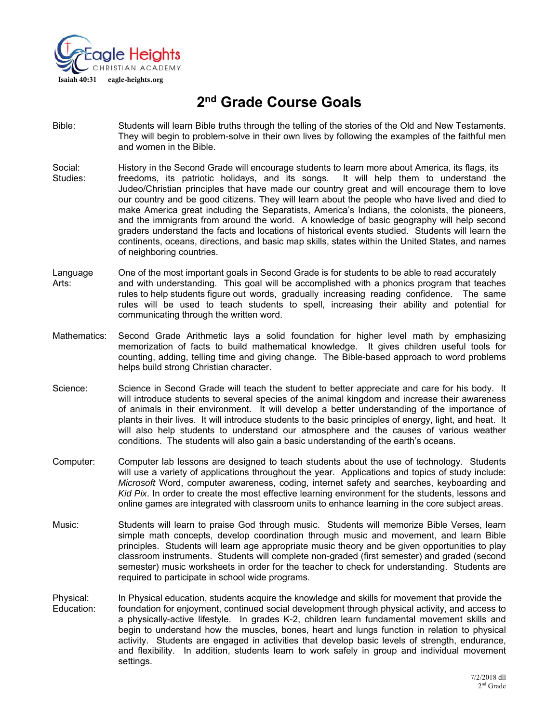

# **2nd Grade Course Goals**

- Bible: Students will learn Bible truths through the telling of the stories of the Old and New Testaments. They will begin to problem-solve in their own lives by following the examples of the faithful men and women in the Bible.
- Social: History in the Second Grade will encourage students to learn more about America, its flags, its Studies: freedoms, its patriotic holidays, and its songs. It will help them to understand the Judeo/Christian principles that have made our country great and will encourage them to love our country and be good citizens. They will learn about the people who have lived and died to make America great including the Separatists, America's Indians, the colonists, the pioneers, and the immigrants from around the world. A knowledge of basic geography will help second graders understand the facts and locations of historical events studied. Students will learn the continents, oceans, directions, and basic map skills, states within the United States, and names of neighboring countries.
- Language One of the most important goals in Second Grade is for students to be able to read accurately Arts: and with understanding. This goal will be accomplished with a phonics program that teaches rules to help students figure out words, gradually increasing reading confidence. The same rules will be used to teach students to spell, increasing their ability and potential for communicating through the written word.
- Mathematics: Second Grade Arithmetic lays a solid foundation for higher level math by emphasizing memorization of facts to build mathematical knowledge. It gives children useful tools for counting, adding, telling time and giving change. The Bible-based approach to word problems helps build strong Christian character.
- Science: Science in Second Grade will teach the student to better appreciate and care for his body. It will introduce students to several species of the animal kingdom and increase their awareness of animals in their environment. It will develop a better understanding of the importance of plants in their lives. It will introduce students to the basic principles of energy, light, and heat. It will also help students to understand our atmosphere and the causes of various weather conditions. The students will also gain a basic understanding of the earth's oceans.
- Computer: Computer lab lessons are designed to teach students about the use of technology. Students will use a variety of applications throughout the year. Applications and topics of study include: *Microsoft* Word, computer awareness, coding, internet safety and searches, keyboarding and *Kid Pix*. In order to create the most effective learning environment for the students, lessons and online games are integrated with classroom units to enhance learning in the core subject areas.
- Music: Students will learn to praise God through music. Students will memorize Bible Verses, learn simple math concepts, develop coordination through music and movement, and learn Bible principles. Students will learn age appropriate music theory and be given opportunities to play classroom instruments. Students will complete non-graded (first semester) and graded (second semester) music worksheets in order for the teacher to check for understanding. Students are required to participate in school wide programs.
- Physical: In Physical education, students acquire the knowledge and skills for movement that provide the Education:<br>Education: foundation for enjoyment, continued social development through physical activity, and access to foundation for enjoyment, continued social development through physical activity, and access to a physically-active lifestyle. In grades K-2, children learn fundamental movement skills and begin to understand how the muscles, bones, heart and lungs function in relation to physical activity. Students are engaged in activities that develop basic levels of strength, endurance, and flexibility. In addition, students learn to work safely in group and individual movement settings.